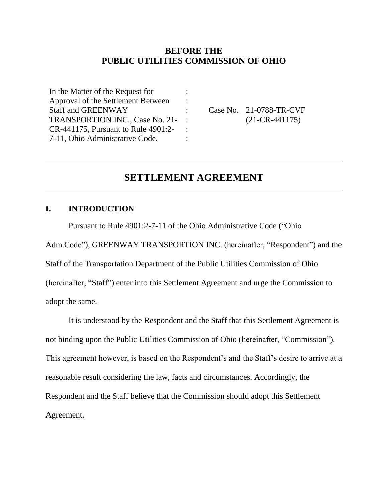## **BEFORE THE PUBLIC UTILITIES COMMISSION OF OHIO**

: : : : : :

In the Matter of the Request for Approval of the Settlement Between Staff and GREENWAY TRANSPORTION INC., Case No. 21- CR-441175, Pursuant to Rule 4901:2- 7-11, Ohio Administrative Code.

Case No. 21-0788-TR-CVF (21-CR-441175)

# **SETTLEMENT AGREEMENT**

### **I. INTRODUCTION**

Pursuant to Rule 4901:2-7-11 of the Ohio Administrative Code ("Ohio

Adm.Code"), GREENWAY TRANSPORTION INC. (hereinafter, "Respondent") and the Staff of the Transportation Department of the Public Utilities Commission of Ohio (hereinafter, "Staff") enter into this Settlement Agreement and urge the Commission to adopt the same.

It is understood by the Respondent and the Staff that this Settlement Agreement is not binding upon the Public Utilities Commission of Ohio (hereinafter, "Commission"). This agreement however, is based on the Respondent's and the Staff's desire to arrive at a reasonable result considering the law, facts and circumstances. Accordingly, the Respondent and the Staff believe that the Commission should adopt this Settlement Agreement.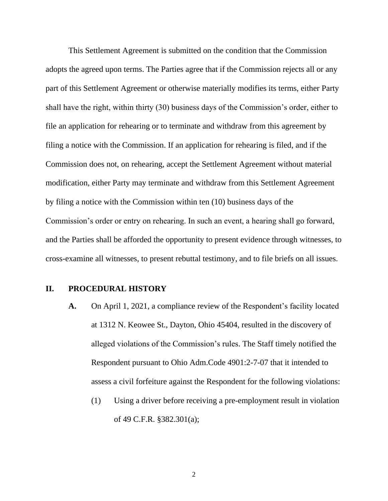This Settlement Agreement is submitted on the condition that the Commission adopts the agreed upon terms. The Parties agree that if the Commission rejects all or any part of this Settlement Agreement or otherwise materially modifies its terms, either Party shall have the right, within thirty (30) business days of the Commission's order, either to file an application for rehearing or to terminate and withdraw from this agreement by filing a notice with the Commission. If an application for rehearing is filed, and if the Commission does not, on rehearing, accept the Settlement Agreement without material modification, either Party may terminate and withdraw from this Settlement Agreement by filing a notice with the Commission within ten (10) business days of the Commission's order or entry on rehearing. In such an event, a hearing shall go forward, and the Parties shall be afforded the opportunity to present evidence through witnesses, to cross-examine all witnesses, to present rebuttal testimony, and to file briefs on all issues.

#### **II. PROCEDURAL HISTORY**

- **A.** On April 1, 2021, a compliance review of the Respondent's facility located at 1312 N. Keowee St., Dayton, Ohio 45404, resulted in the discovery of alleged violations of the Commission's rules. The Staff timely notified the Respondent pursuant to Ohio Adm.Code 4901:2-7-07 that it intended to assess a civil forfeiture against the Respondent for the following violations:
	- (1) Using a driver before receiving a pre-employment result in violation of 49 C.F.R. §382.301(a);

2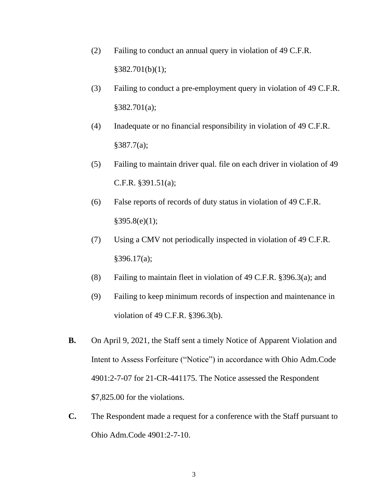- (2) Failing to conduct an annual query in violation of 49 C.F.R.  $§382.701(b)(1);$
- (3) Failing to conduct a pre-employment query in violation of 49 C.F.R. §382.701(a);
- (4) Inadequate or no financial responsibility in violation of 49 C.F.R. §387.7(a);
- (5) Failing to maintain driver qual. file on each driver in violation of 49 C.F.R. §391.51(a);
- (6) False reports of records of duty status in violation of 49 C.F.R.  $§395.8(e)(1);$
- (7) Using a CMV not periodically inspected in violation of 49 C.F.R. §396.17(a);
- (8) Failing to maintain fleet in violation of 49 C.F.R. §396.3(a); and
- (9) Failing to keep minimum records of inspection and maintenance in violation of 49 C.F.R. §396.3(b).
- **B.** On April 9, 2021, the Staff sent a timely Notice of Apparent Violation and Intent to Assess Forfeiture ("Notice") in accordance with Ohio Adm.Code 4901:2-7-07 for 21-CR-441175. The Notice assessed the Respondent \$7,825.00 for the violations.
- **C.** The Respondent made a request for a conference with the Staff pursuant to Ohio Adm.Code 4901:2-7-10.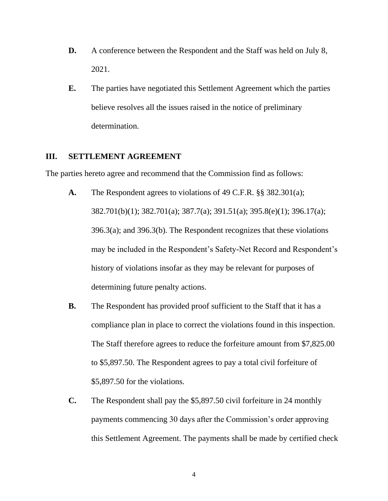- **D.** A conference between the Respondent and the Staff was held on July 8, 2021.
- **E.** The parties have negotiated this Settlement Agreement which the parties believe resolves all the issues raised in the notice of preliminary determination.

#### **III. SETTLEMENT AGREEMENT**

The parties hereto agree and recommend that the Commission find as follows:

- **A.** The Respondent agrees to violations of 49 C.F.R. §§ 382.301(a); 382.701(b)(1); 382.701(a); 387.7(a); 391.51(a); 395.8(e)(1); 396.17(a); 396.3(a); and 396.3(b). The Respondent recognizes that these violations may be included in the Respondent's Safety-Net Record and Respondent's history of violations insofar as they may be relevant for purposes of determining future penalty actions.
- **B.** The Respondent has provided proof sufficient to the Staff that it has a compliance plan in place to correct the violations found in this inspection. The Staff therefore agrees to reduce the forfeiture amount from \$7,825.00 to \$5,897.50. The Respondent agrees to pay a total civil forfeiture of \$5,897.50 for the violations.
- **C.** The Respondent shall pay the \$5,897.50 civil forfeiture in 24 monthly payments commencing 30 days after the Commission's order approving this Settlement Agreement. The payments shall be made by certified check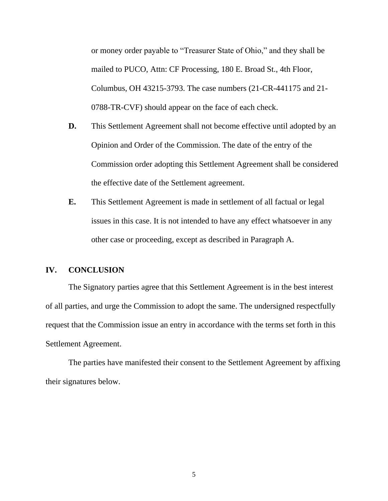or money order payable to "Treasurer State of Ohio," and they shall be mailed to PUCO, Attn: CF Processing, 180 E. Broad St., 4th Floor, Columbus, OH 43215-3793. The case numbers (21-CR-441175 and 21- 0788-TR-CVF) should appear on the face of each check.

- **D.** This Settlement Agreement shall not become effective until adopted by an Opinion and Order of the Commission. The date of the entry of the Commission order adopting this Settlement Agreement shall be considered the effective date of the Settlement agreement.
- **E.** This Settlement Agreement is made in settlement of all factual or legal issues in this case. It is not intended to have any effect whatsoever in any other case or proceeding, except as described in Paragraph A.

#### **IV. CONCLUSION**

The Signatory parties agree that this Settlement Agreement is in the best interest of all parties, and urge the Commission to adopt the same. The undersigned respectfully request that the Commission issue an entry in accordance with the terms set forth in this Settlement Agreement.

The parties have manifested their consent to the Settlement Agreement by affixing their signatures below.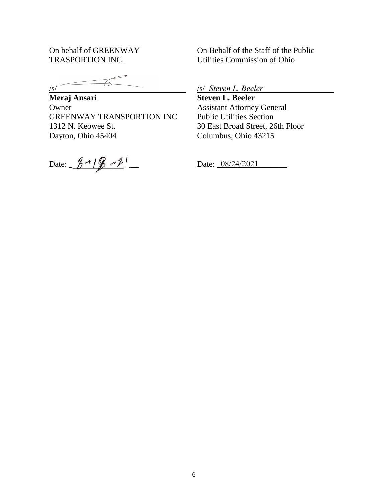On behalf of GREENWAY TRASPORTION INC.

 $\sqrt{s/2}$ 

**Meraj Ansari Owner** GREENWAY TRANSPORTION INC 1312 N. Keowee St. Dayton, Ohio 45404

Date:  $\frac{8-19-1}{8}$ 

On Behalf of the Staff of the Public Utilities Commission of Ohio

/s/ *Steven L. Beeler*

**Steven L. Beeler** Assistant Attorney General Public Utilities Section 30 East Broad Street, 26th Floor Columbus, Ohio 43215

Date: 08/24/2021